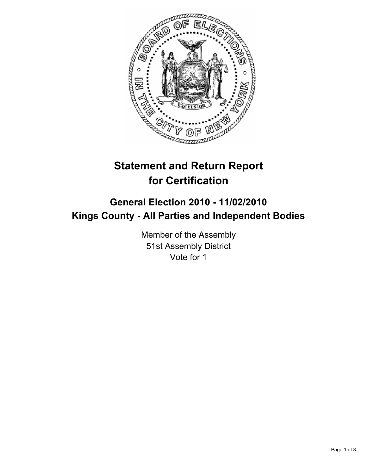

# **Statement and Return Report for Certification**

## **General Election 2010 - 11/02/2010 Kings County - All Parties and Independent Bodies**

Member of the Assembly 51st Assembly District Vote for 1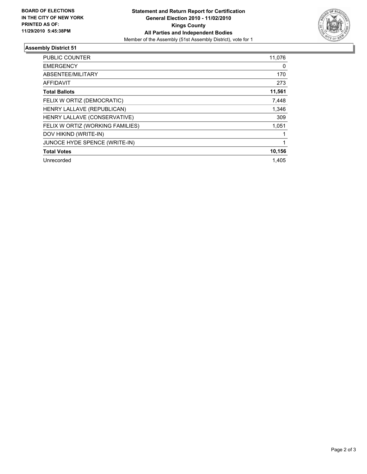

### **Assembly District 51**

| <b>PUBLIC COUNTER</b>            | 11,076 |
|----------------------------------|--------|
| <b>EMERGENCY</b>                 | 0      |
| ABSENTEE/MILITARY                | 170    |
| <b>AFFIDAVIT</b>                 | 273    |
| <b>Total Ballots</b>             | 11,561 |
| FELIX W ORTIZ (DEMOCRATIC)       | 7,448  |
| HENRY LALLAVE (REPUBLICAN)       | 1,346  |
| HENRY LALLAVE (CONSERVATIVE)     | 309    |
| FELIX W ORTIZ (WORKING FAMILIES) | 1,051  |
| DOV HIKIND (WRITE-IN)            |        |
| JUNOCE HYDE SPENCE (WRITE-IN)    |        |
| <b>Total Votes</b>               | 10,156 |
| Unrecorded                       | 1.405  |